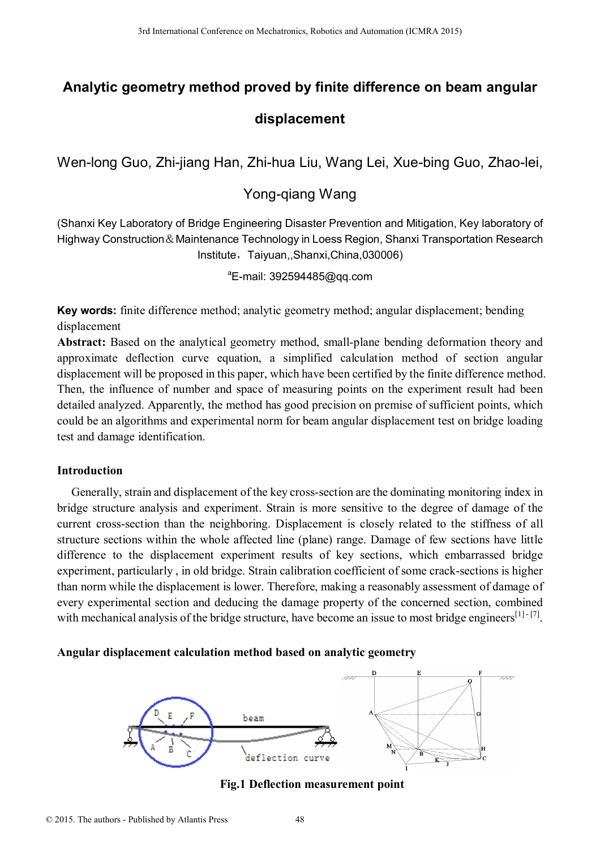# **Analytic geometry method proved by finite difference on beam angular displacement**

Wen-long Guo, Zhi-jiang Han, Zhi-hua Liu, Wang Lei, Xue-bing Guo, Zhao-lei,

# Yong-qiang Wang

(Shanxi Key Laboratory of Bridge Engineering Disaster Prevention and Mitigation, Key laboratory of Highway Construction&Maintenance Technology in Loess Region, Shanxi Transportation Research Institute,Taiyuan,,Shanxi,China,030006)

<sup>a</sup>E-mail: 392594485@qq.com

**Key words:** finite difference method; analytic geometry method; angular displacement; bending displacement

**Abstract:** Based on the analytical geometry method, small-plane bending deformation theory and approximate deflection curve equation, a simplified calculation method of section angular displacement will be proposed in this paper, which have been certified by the finite difference method. Then, the influence of number and space of measuring points on the experiment result had been detailed analyzed. Apparently, the method has good precision on premise of sufficient points, which could be an algorithms and experimental norm for beam angular displacement test on bridge loading test and damage identification.

## **Introduction**

Generally, strain and displacement of the key cross-section are the dominating monitoring index in bridge structure analysis and experiment. Strain is more sensitive to the degree of damage of the current cross-section than the neighboring. Displacement is closely related to the stiffness of all structure sections within the whole affected line (plane) range. Damage of few sections have little difference to the displacement experiment results of key sections, which embarrassed bridge experiment, particularly , in old bridge. Strain calibration coefficient of some crack-sections is higher than norm while the displacement is lower. Therefore, making a reasonably assessment of damage of every experimental section and deducing the damage property of the concerned section, combined with mechanical analysis of the bridge structure, have become an issue to most bridge engineers<sup>[1]-[7]</sup>. 3rd International Conference Mechanics, Robotics and Automatics 2015<br> **Analytic geometry method proved by finite difference on beard internation and Mechanics and Society and Conference on Mechanics and Mechanics and Mech** 

### **Angular displacement calculation method based on analytic geometry**



**Fig.1 Deflection measurement point**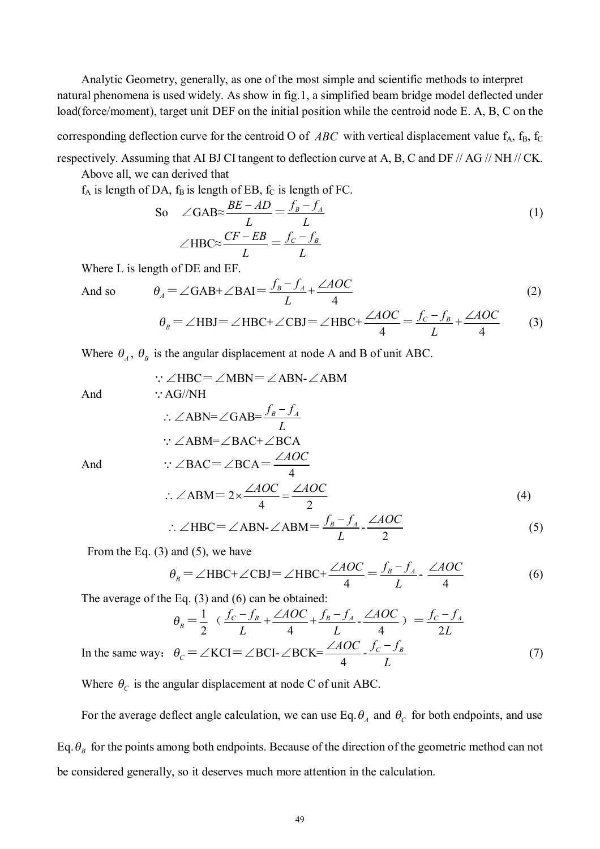Analytic Geometry, generally, as one of the most simple and scientific methods to interpret natural phenomena is used widely. As show in fig.1, a simplified beam bridge model deflected under load(force/moment), target unit DEF on the initial position while the centroid node E. A, B, C on the

corresponding deflection curve for the centroid O of  $ABC$  with vertical displacement value  $f_A$ ,  $f_B$ ,  $f_C$ 

respectively. Assuming that AI BJ CI tangent to deflection curve at A, B, C and DF // AG // NH // CK. Above all, we can derived that

 $f_A$  is length of DA,  $f_B$  is length of EB,  $f_C$  is length of FC.

So 
$$
\angle
$$
GAB $\approx \frac{BE - AD}{L} = \frac{f_B - f_A}{L}$   
 $\angle$ HBC $\approx \frac{CF - EB}{L} = \frac{f_C - f_B}{L}$  (1)

Where L is length of DE and EF.

And so 
$$
\theta_A = \angle \text{GAB} + \angle \text{BAI} = \frac{f_B - f_A}{L} + \frac{\angle AOC}{4}
$$
 (2)  

$$
\theta_B = \angle \text{HBJ} = \angle \text{HBC} + \angle \text{CBJ} = \angle \text{HBC} + \frac{\angle AOC}{4} = \frac{f_C - f_B}{L} + \frac{\angle AOC}{4}
$$
 (3)

Where  $\theta_A$ ,  $\theta_B$  is the angular displacement at node A and B of unit ABC.

$$
\therefore \angle \text{HBC} = \angle \text{MBN} = \angle \text{ABN} \cdot \angle \text{ABM}
$$
  
And  

$$
\therefore \angle \text{ABN} = \angle \text{GAB} = \frac{f_B - f_A}{L}
$$
  

$$
\therefore \angle \text{ABM} = \angle \text{BAC} + \angle \text{BCA}
$$
  
And  

$$
\therefore \angle \text{BAC} = \angle \text{BCA} = \frac{\angle \text{AOC}}{4}
$$
  

$$
\therefore \angle \text{ABM} = 2 \times \frac{\angle \text{AOC}}{4} = \frac{\angle \text{AOC}}{2}
$$
 (4)

$$
\therefore \angle \text{HBC} = \angle \text{ABN} \cdot \angle \text{ABM} = \frac{f_B - f_A}{L} \cdot \frac{\angle AOC}{2} \tag{5}
$$

From the Eq.  $(3)$  and  $(5)$ , we have

$$
\theta_B = \angle \text{HBC} + \angle \text{CBJ} = \angle \text{HBC} + \frac{\angle AOC}{4} = \frac{f_B - f_A}{L} - \frac{\angle AOC}{4} \tag{6}
$$

The average of the Eq. (3) and (6) can be obtained:

$$
\theta_B = \frac{1}{2} \left( \frac{f_C - f_B}{L} + \frac{\angle AOC}{4} + \frac{f_B - f_A}{L} - \frac{\angle AOC}{4} \right) = \frac{f_C - f_A}{2L}
$$
  
In the same way:  $\theta_C = \angle KCI = \angle BCI - \angle BCK = \frac{\angle AOC}{4} - \frac{f_C - f_B}{L}$  (7)

Where  $\theta_c$  is the angular displacement at node C of unit ABC.

For the average deflect angle calculation, we can use Eq.  $\theta_A$  and  $\theta_C$  for both endpoints, and use Eq. $\theta_B$  for the points among both endpoints. Because of the direction of the geometric method can not be considered generally, so it deserves much more attention in the calculation.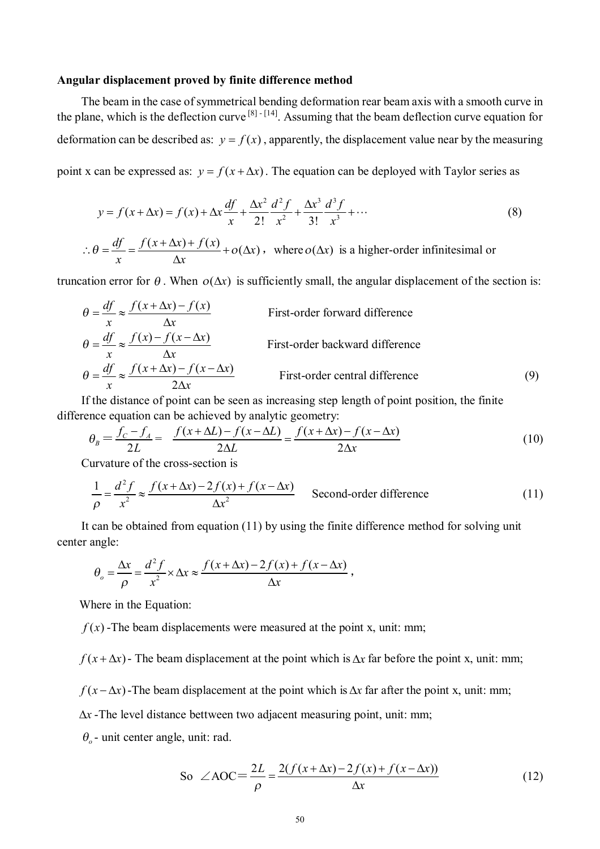#### **Angular displacement proved by finite difference method**

The beam in the case of symmetrical bending deformation rear beam axis with a smooth curve in the plane, which is the deflection curve  $[8]$ <sup>-[14]</sup>. Assuming that the beam deflection curve equation for deformation can be described as:  $y = f(x)$ , apparently, the displacement value near by the measuring point x can be expressed as:  $y = f(x + \Delta x)$ . The equation can be deployed with Taylor series as

$$
y = f(x + \Delta x) = f(x) + \Delta x \frac{df}{x} + \frac{\Delta x^2}{2!} \frac{d^2 f}{x^2} + \frac{\Delta x^3}{3!} \frac{d^3 f}{x^3} + \dots
$$
 (8)

$$
\therefore \theta = \frac{df}{x} = \frac{f(x + \Delta x) + f(x)}{\Delta x} + o(\Delta x), \text{ where } o(\Delta x) \text{ is a higher-order infinitesimal or}
$$

truncation error for  $\theta$ . When  $o(\Delta x)$  is sufficiently small, the angular displacement of the section is:

$$
\theta = \frac{df}{x} \approx \frac{f(x + \Delta x) - f(x)}{\Delta x}
$$
First-order forward difference  
\n
$$
\theta = \frac{df}{x} \approx \frac{f(x) - f(x - \Delta x)}{\Delta x}
$$
First-order backward difference  
\n
$$
\theta = \frac{df}{x} \approx \frac{f(x + \Delta x) - f(x - \Delta x)}{2\Delta x}
$$
First-order central difference [9]

If the distance of point can be seen as increasing step length of point position, the finite difference equation can be achieved by analytic geometry:

$$
\theta_B = \frac{f_C - f_A}{2L} = \frac{f(x + \Delta L) - f(x - \Delta L)}{2\Delta L} = \frac{f(x + \Delta x) - f(x - \Delta x)}{2\Delta x}
$$
(10)

Curvature of the cross-section is

$$
\frac{1}{\rho} = \frac{d^2 f}{x^2} \approx \frac{f(x + \Delta x) - 2f(x) + f(x - \Delta x)}{\Delta x^2}
$$
 Second-order difference (11)

It can be obtained from equation (11) by using the finite difference method for solving unit center angle:

$$
\theta_o = \frac{\Delta x}{\rho} = \frac{d^2 f}{x^2} \times \Delta x \approx \frac{f(x + \Delta x) - 2f(x) + f(x - \Delta x)}{\Delta x},
$$

Where in the Equation:

 $f(x)$ -The beam displacements were measured at the point x, unit: mm;

 $f(x + \Delta x)$  - The beam displacement at the point which is  $\Delta x$  far before the point x, unit: mm;

 $f(x - \Delta x)$ -The beam displacement at the point which is  $\Delta x$  far after the point x, unit: mm;

 $\Delta x$ -The level distance bettween two adjacent measuring point, unit: mm;

 $\theta$ <sub>o</sub> - unit center angle, unit: rad.

So 
$$
\angle AOC = \frac{2L}{\rho} = \frac{2(f(x + \Delta x) - 2f(x) + f(x - \Delta x))}{\Delta x}
$$
 (12)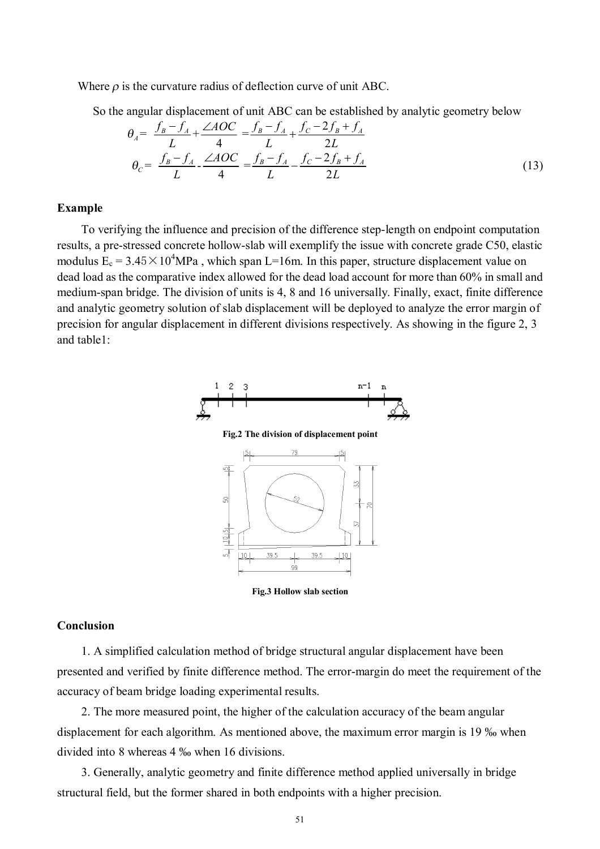Where  $\rho$  is the curvature radius of deflection curve of unit ABC.

So the angular displacement of unit ABC can be established by analytic geometry below

$$
\theta_A = \frac{f_B - f_A}{L} + \frac{\angle AOC}{4} = \frac{f_B - f_A}{L} + \frac{f_C - 2f_B + f_A}{2L}
$$
\n
$$
\theta_C = \frac{f_B - f_A}{L} - \frac{\angle AOC}{4} = \frac{f_B - f_A}{L} - \frac{f_C - 2f_B + f_A}{2L}
$$
\n(13)

#### **Example**

To verifying the influence and precision of the difference step-length on endpoint computation results, a pre-stressed concrete hollow-slab will exemplify the issue with concrete grade C50, elastic modulus  $E_c = 3.45 \times 10^4$ MPa, which span L=16m. In this paper, structure displacement value on dead load as the comparative index allowed for the dead load account for more than 60% in small and medium-span bridge. The division of units is 4, 8 and 16 universally. Finally, exact, finite difference and analytic geometry solution of slab displacement will be deployed to analyze the error margin of precision for angular displacement in different divisions respectively. As showing in the figure 2, 3 and table1:



**Fig.3 Hollow slab section** 

#### **Conclusion**

1. A simplified calculation method of bridge structural angular displacement have been presented and verified by finite difference method. The error-margin do meet the requirement of the accuracy of beam bridge loading experimental results.

2. The more measured point, the higher of the calculation accuracy of the beam angular displacement for each algorithm. As mentioned above, the maximum error margin is 19 ‰ when divided into 8 whereas 4 ‰ when 16 divisions.

3. Generally, analytic geometry and finite difference method applied universally in bridge structural field, but the former shared in both endpoints with a higher precision.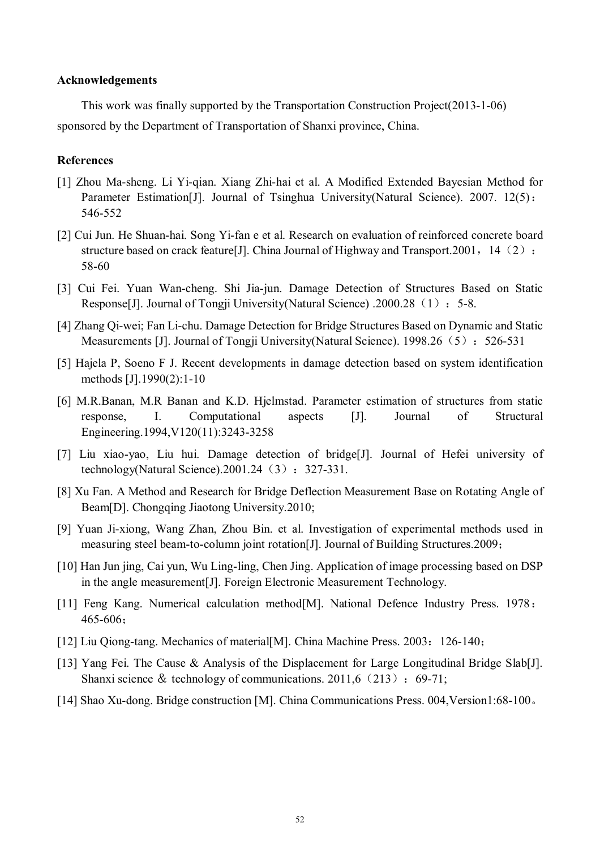#### **Acknowledgements**

This work was finally supported by the Transportation Construction Project(2013-1-06) sponsored by the Department of Transportation of Shanxi province, China.

#### **References**

- [1] Zhou Ma-sheng. Li Yi-qian. Xiang Zhi-hai et al. A Modified Extended Bayesian Method for Parameter Estimation[J]. Journal of Tsinghua University(Natural Science). 2007. 12(5): 546-552
- [2] Cui Jun. He Shuan-hai. Song Yi-fan e et al. Research on evaluation of reinforced concrete board structure based on crack feature [J]. China Journal of Highway and Transport. 2001, 14 (2): 58-60
- [3] Cui Fei. Yuan Wan-cheng. Shi Jia-jun. Damage Detection of Structures Based on Static Response[J]. Journal of Tongji University(Natural Science) .2000.28 (1): 5-8.
- [4] Zhang Qi-wei; Fan Li-chu. Damage Detection for Bridge Structures Based on Dynamic and Static Measurements [J]. Journal of Tongji University(Natural Science). 1998.26 (5): 526-531
- [5] Hajela P, Soeno F J. Recent developments in damage detection based on system identification methods [J].1990(2):1-10
- [6] M.R.Banan, M.R Banan and K.D. Hjelmstad. Parameter estimation of structures from static response, I. Computational aspects [J]. Journal of Structural Engineering.1994,V120(11):3243-3258
- [7] Liu xiao-yao, Liu hui. Damage detection of bridge[J]. Journal of Hefei university of technology(Natural Science).2001.24 $(3):327-331$ .
- [8] Xu Fan. A Method and Research for Bridge Deflection Measurement Base on Rotating Angle of Beam[D]. Chongqing Jiaotong University.2010;
- [9] Yuan Ji-xiong, Wang Zhan, Zhou Bin. et al. Investigation of experimental methods used in measuring steel beam-to-column joint rotation[J]. Journal of Building Structures.2009;
- [10] Han Jun jing, Cai yun, Wu Ling-ling, Chen Jing. Application of image processing based on DSP in the angle measurement[J]. Foreign Electronic Measurement Technology.
- [11] Feng Kang. Numerical calculation method<sup>[M]</sup>. National Defence Industry Press. 1978: 465-606;
- [12] Liu Qiong-tang. Mechanics of material[M]. China Machine Press. 2003: 126-140;
- [13] Yang Fei. The Cause & Analysis of the Displacement for Large Longitudinal Bridge Slab[J]. Shanxi science & technology of communications.  $2011.6(213):69-71$ ;
- [14] Shao Xu-dong. Bridge construction [M]. China Communications Press. 004,Version1:68-100。